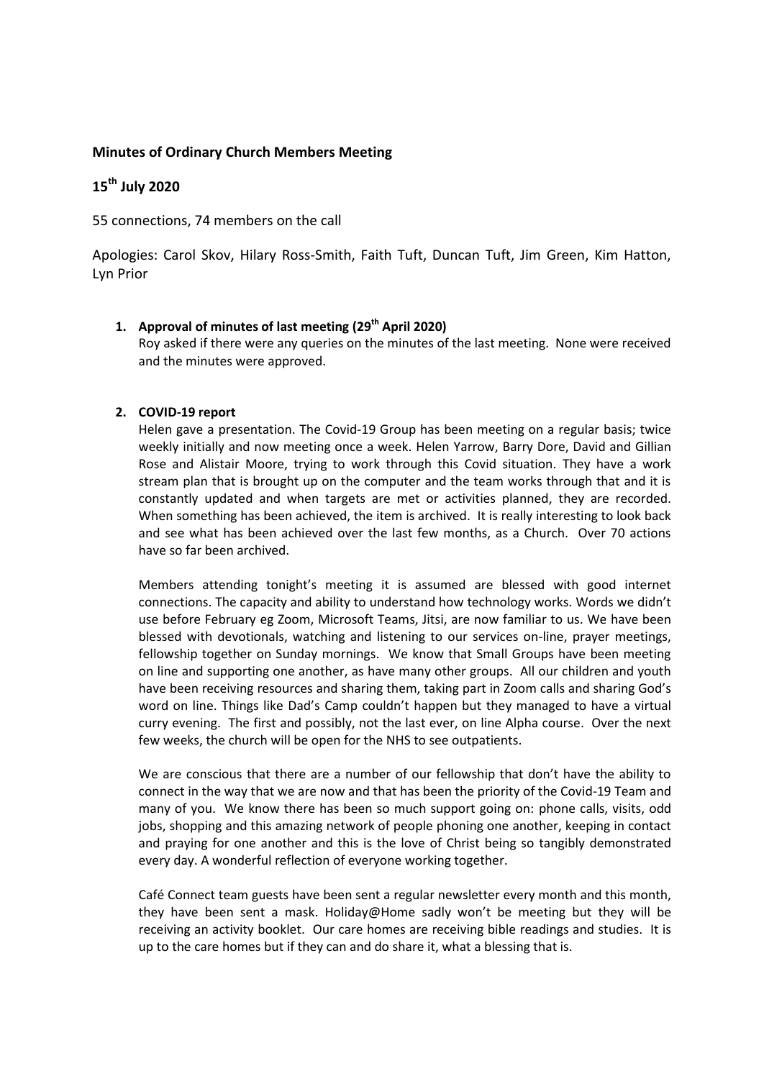# **Minutes of Ordinary Church Members Meeting**

# **15th July 2020**

55 connections, 74 members on the call

Apologies: Carol Skov, Hilary Ross-Smith, Faith Tuft, Duncan Tuft, Jim Green, Kim Hatton, Lyn Prior

# **1. Approval of minutes of last meeting (29th April 2020)**

Roy asked if there were any queries on the minutes of the last meeting. None were received and the minutes were approved.

## **2. COVID-19 report**

Helen gave a presentation. The Covid-19 Group has been meeting on a regular basis; twice weekly initially and now meeting once a week. Helen Yarrow, Barry Dore, David and Gillian Rose and Alistair Moore, trying to work through this Covid situation. They have a work stream plan that is brought up on the computer and the team works through that and it is constantly updated and when targets are met or activities planned, they are recorded. When something has been achieved, the item is archived. It is really interesting to look back and see what has been achieved over the last few months, as a Church. Over 70 actions have so far been archived.

Members attending tonight's meeting it is assumed are blessed with good internet connections. The capacity and ability to understand how technology works. Words we didn't use before February eg Zoom, Microsoft Teams, Jitsi, are now familiar to us. We have been blessed with devotionals, watching and listening to our services on-line, prayer meetings, fellowship together on Sunday mornings. We know that Small Groups have been meeting on line and supporting one another, as have many other groups. All our children and youth have been receiving resources and sharing them, taking part in Zoom calls and sharing God's word on line. Things like Dad's Camp couldn't happen but they managed to have a virtual curry evening. The first and possibly, not the last ever, on line Alpha course. Over the next few weeks, the church will be open for the NHS to see outpatients.

We are conscious that there are a number of our fellowship that don't have the ability to connect in the way that we are now and that has been the priority of the Covid-19 Team and many of you. We know there has been so much support going on: phone calls, visits, odd jobs, shopping and this amazing network of people phoning one another, keeping in contact and praying for one another and this is the love of Christ being so tangibly demonstrated every day. A wonderful reflection of everyone working together.

Café Connect team guests have been sent a regular newsletter every month and this month, they have been sent a mask. Holiday@Home sadly won't be meeting but they will be receiving an activity booklet. Our care homes are receiving bible readings and studies. It is up to the care homes but if they can and do share it, what a blessing that is.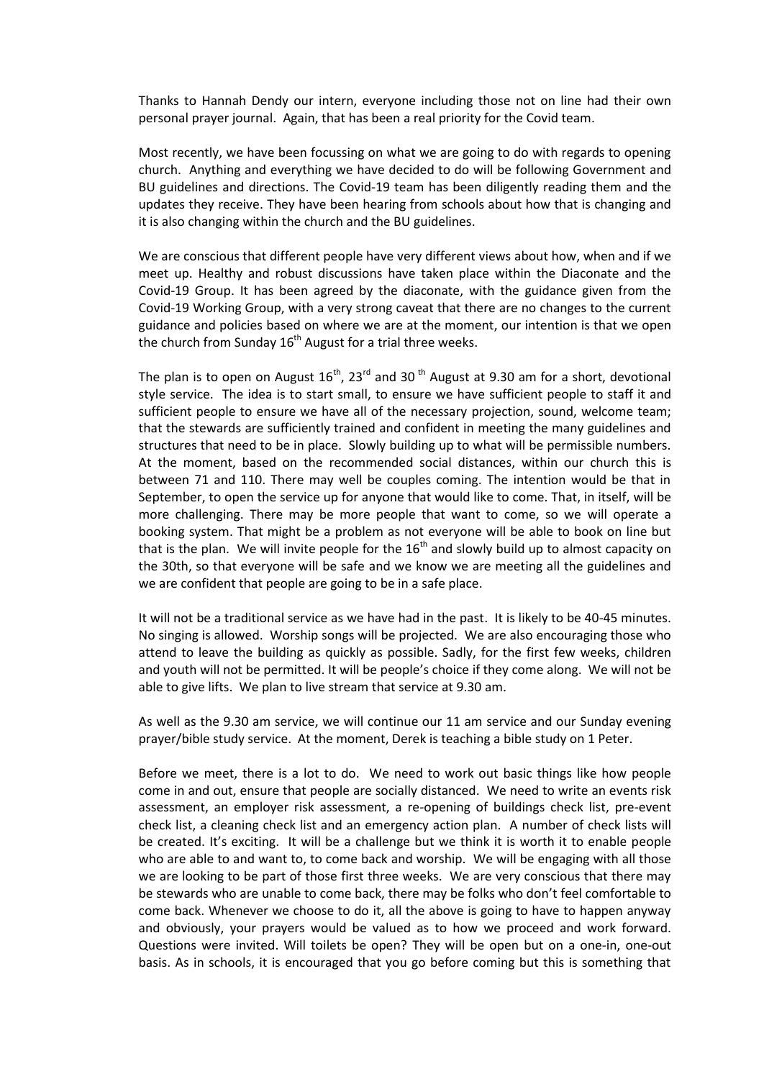Thanks to Hannah Dendy our intern, everyone including those not on line had their own personal prayer journal. Again, that has been a real priority for the Covid team.

Most recently, we have been focussing on what we are going to do with regards to opening church. Anything and everything we have decided to do will be following Government and BU guidelines and directions. The Covid-19 team has been diligently reading them and the updates they receive. They have been hearing from schools about how that is changing and it is also changing within the church and the BU guidelines.

We are conscious that different people have very different views about how, when and if we meet up. Healthy and robust discussions have taken place within the Diaconate and the Covid-19 Group. It has been agreed by the diaconate, with the guidance given from the Covid-19 Working Group, with a very strong caveat that there are no changes to the current guidance and policies based on where we are at the moment, our intention is that we open the church from Sunday  $16<sup>th</sup>$  August for a trial three weeks.

The plan is to open on August  $16^{th}$ ,  $23^{rd}$  and  $30^{th}$  August at 9.30 am for a short, devotional style service. The idea is to start small, to ensure we have sufficient people to staff it and sufficient people to ensure we have all of the necessary projection, sound, welcome team; that the stewards are sufficiently trained and confident in meeting the many guidelines and structures that need to be in place. Slowly building up to what will be permissible numbers. At the moment, based on the recommended social distances, within our church this is between 71 and 110. There may well be couples coming. The intention would be that in September, to open the service up for anyone that would like to come. That, in itself, will be more challenging. There may be more people that want to come, so we will operate a booking system. That might be a problem as not everyone will be able to book on line but that is the plan. We will invite people for the  $16<sup>th</sup>$  and slowly build up to almost capacity on the 30th, so that everyone will be safe and we know we are meeting all the guidelines and we are confident that people are going to be in a safe place.

It will not be a traditional service as we have had in the past. It is likely to be 40-45 minutes. No singing is allowed. Worship songs will be projected. We are also encouraging those who attend to leave the building as quickly as possible. Sadly, for the first few weeks, children and youth will not be permitted. It will be people's choice if they come along. We will not be able to give lifts. We plan to live stream that service at 9.30 am.

As well as the 9.30 am service, we will continue our 11 am service and our Sunday evening prayer/bible study service. At the moment, Derek is teaching a bible study on 1 Peter.

Before we meet, there is a lot to do. We need to work out basic things like how people come in and out, ensure that people are socially distanced. We need to write an events risk assessment, an employer risk assessment, a re-opening of buildings check list, pre-event check list, a cleaning check list and an emergency action plan. A number of check lists will be created. It's exciting. It will be a challenge but we think it is worth it to enable people who are able to and want to, to come back and worship. We will be engaging with all those we are looking to be part of those first three weeks. We are very conscious that there may be stewards who are unable to come back, there may be folks who don't feel comfortable to come back. Whenever we choose to do it, all the above is going to have to happen anyway and obviously, your prayers would be valued as to how we proceed and work forward. Questions were invited. Will toilets be open? They will be open but on a one-in, one-out basis. As in schools, it is encouraged that you go before coming but this is something that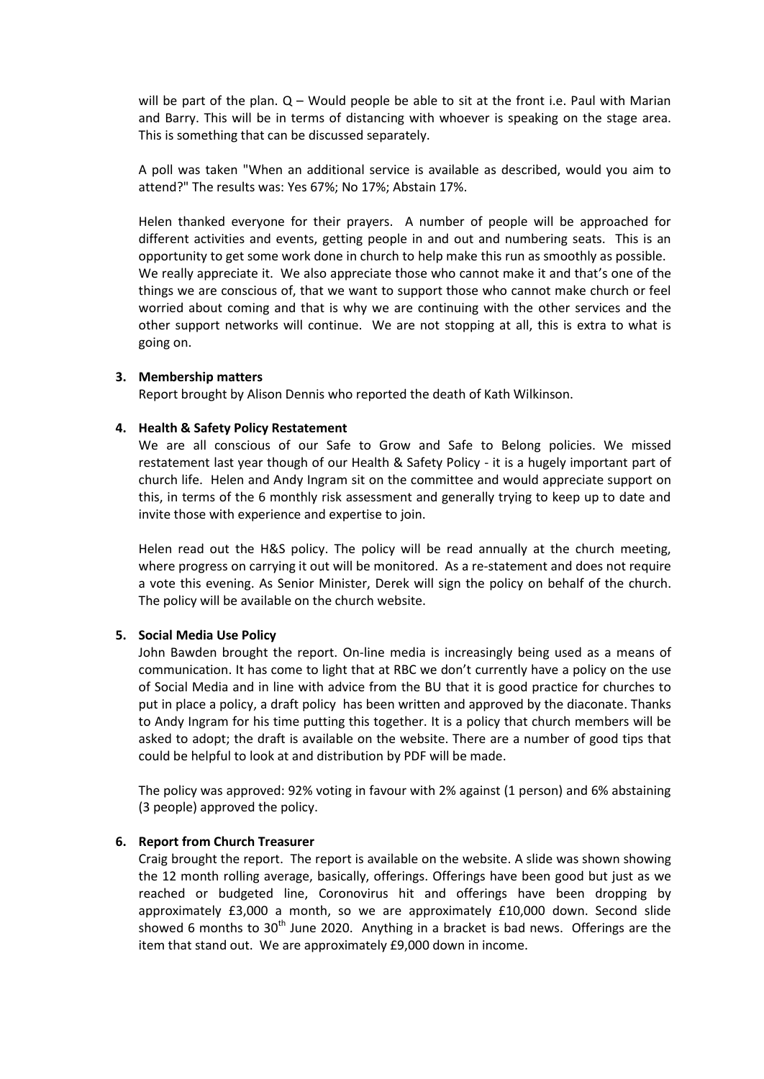will be part of the plan. Q – Would people be able to sit at the front i.e. Paul with Marian and Barry. This will be in terms of distancing with whoever is speaking on the stage area. This is something that can be discussed separately.

A poll was taken "When an additional service is available as described, would you aim to attend?" The results was: Yes 67%; No 17%; Abstain 17%.

Helen thanked everyone for their prayers. A number of people will be approached for different activities and events, getting people in and out and numbering seats. This is an opportunity to get some work done in church to help make this run as smoothly as possible. We really appreciate it. We also appreciate those who cannot make it and that's one of the things we are conscious of, that we want to support those who cannot make church or feel worried about coming and that is why we are continuing with the other services and the other support networks will continue. We are not stopping at all, this is extra to what is going on.

#### **3. Membership matters**

Report brought by Alison Dennis who reported the death of Kath Wilkinson.

### **4. Health & Safety Policy Restatement**

We are all conscious of our Safe to Grow and Safe to Belong policies. We missed restatement last year though of our Health & Safety Policy - it is a hugely important part of church life. Helen and Andy Ingram sit on the committee and would appreciate support on this, in terms of the 6 monthly risk assessment and generally trying to keep up to date and invite those with experience and expertise to join.

Helen read out the H&S policy. The policy will be read annually at the church meeting, where progress on carrying it out will be monitored. As a re-statement and does not require a vote this evening. As Senior Minister, Derek will sign the policy on behalf of the church. The policy will be available on the church website.

#### **5. Social Media Use Policy**

John Bawden brought the report. On-line media is increasingly being used as a means of communication. It has come to light that at RBC we don't currently have a policy on the use of Social Media and in line with advice from the BU that it is good practice for churches to put in place a policy, a draft policy has been written and approved by the diaconate. Thanks to Andy Ingram for his time putting this together. It is a policy that church members will be asked to adopt; the draft is available on the website. There are a number of good tips that could be helpful to look at and distribution by PDF will be made.

The policy was approved: 92% voting in favour with 2% against (1 person) and 6% abstaining (3 people) approved the policy.

## **6. Report from Church Treasurer**

Craig brought the report. The report is available on the website. A slide was shown showing the 12 month rolling average, basically, offerings. Offerings have been good but just as we reached or budgeted line, Coronovirus hit and offerings have been dropping by approximately £3,000 a month, so we are approximately £10,000 down. Second slide showed 6 months to  $30<sup>th</sup>$  June 2020. Anything in a bracket is bad news. Offerings are the item that stand out. We are approximately £9,000 down in income.